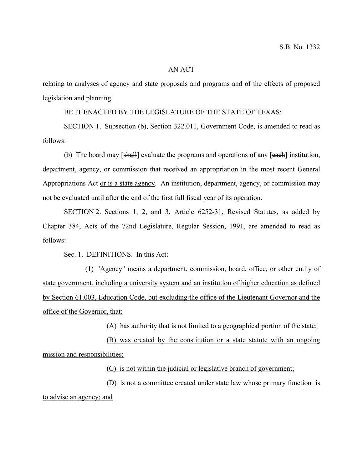## AN ACT

relating to analyses of agency and state proposals and programs and of the effects of proposed legislation and planning.

BE IT ENACTED BY THE LEGISLATURE OF THE STATE OF TEXAS:

SECTION 1. Subsection (b), Section 322.011, Government Code, is amended to read as follows:

(b) The board may [shall] evaluate the programs and operations of any [each] institution, department, agency, or commission that received an appropriation in the most recent General Appropriations Act or is a state agency. An institution, department, agency, or commission may not be evaluated until after the end of the first full fiscal year of its operation.

SECTION 2. Sections 1, 2, and 3, Article 6252-31, Revised Statutes, as added by Chapter 384, Acts of the 72nd Legislature, Regular Session, 1991, are amended to read as follows:

Sec. 1. DEFINITIONS. In this Act:

(1) "Agency" means a department, commission, board, office, or other entity of state government, including a university system and an institution of higher education as defined by Section 61.003, Education Code, but excluding the office of the Lieutenant Governor and the office of the Governor, that:

(A) has authority that is not limited to a geographical portion of the state;

(B) was created by the constitution or a state statute with an ongoing mission and responsibilities;

(C) is not within the judicial or legislative branch of government;

(D) is not a committee created under state law whose primary function is to advise an agency; and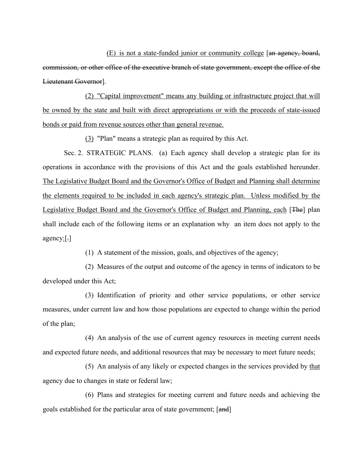(E) is not a state-funded junior or community college [an agency, board, commission, or other office of the executive branch of state government, except the office of the Lieutenant Governor].

(2) "Capital improvement" means any building or infrastructure project that will be owned by the state and built with direct appropriations or with the proceeds of state-issued bonds or paid from revenue sources other than general revenue.

(3) "Plan" means a strategic plan as required by this Act.

Sec. 2. STRATEGIC PLANS. (a) Each agency shall develop a strategic plan for its operations in accordance with the provisions of this Act and the goals established hereunder. The Legislative Budget Board and the Governor's Office of Budget and Planning shall determine the elements required to be included in each agency's strategic plan. Unless modified by the Legislative Budget Board and the Governor's Office of Budget and Planning, each [The] plan shall include each of the following items or an explanation why an item does not apply to the agency:[.]

(1) A statement of the mission, goals, and objectives of the agency;

(2) Measures of the output and outcome of the agency in terms of indicators to be developed under this Act;

(3) Identification of priority and other service populations, or other service measures, under current law and how those populations are expected to change within the period of the plan;

(4) An analysis of the use of current agency resources in meeting current needs and expected future needs, and additional resources that may be necessary to meet future needs;

(5) An analysis of any likely or expected changes in the services provided by that agency due to changes in state or federal law;

(6) Plans and strategies for meeting current and future needs and achieving the goals established for the particular area of state government; [and]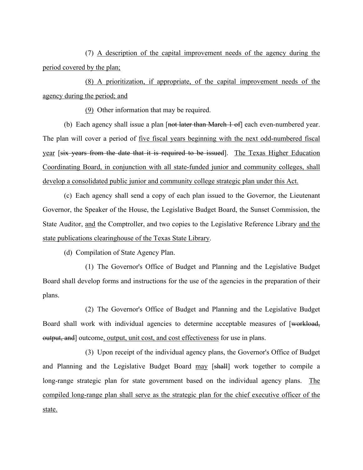(7) A description of the capital improvement needs of the agency during the period covered by the plan;

(8) A prioritization, if appropriate, of the capital improvement needs of the agency during the period; and

(9) Other information that may be required.

(b) Each agency shall issue a plan [not later than March 1 of] each even-numbered year. The plan will cover a period of five fiscal years beginning with the next odd-numbered fiscal year [six years from the date that it is required to be issued]. The Texas Higher Education Coordinating Board, in conjunction with all state-funded junior and community colleges, shall develop a consolidated public junior and community college strategic plan under this Act.

(c) Each agency shall send a copy of each plan issued to the Governor, the Lieutenant Governor, the Speaker of the House, the Legislative Budget Board, the Sunset Commission, the State Auditor, and the Comptroller, and two copies to the Legislative Reference Library and the state publications clearinghouse of the Texas State Library.

(d) Compilation of State Agency Plan.

(1) The Governor's Office of Budget and Planning and the Legislative Budget Board shall develop forms and instructions for the use of the agencies in the preparation of their plans.

(2) The Governor's Office of Budget and Planning and the Legislative Budget Board shall work with individual agencies to determine acceptable measures of [workload, output, and] outcome, output, unit cost, and cost effectiveness for use in plans.

(3) Upon receipt of the individual agency plans, the Governor's Office of Budget and Planning and the Legislative Budget Board may [shall] work together to compile a long-range strategic plan for state government based on the individual agency plans. The compiled long-range plan shall serve as the strategic plan for the chief executive officer of the state.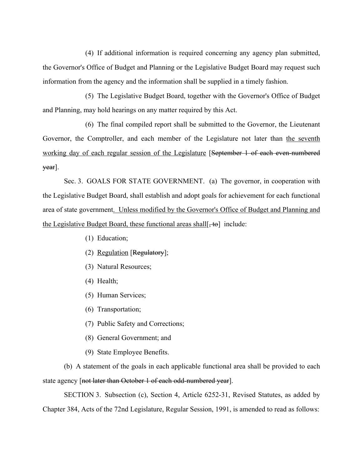(4) If additional information is required concerning any agency plan submitted, the Governor's Office of Budget and Planning or the Legislative Budget Board may request such information from the agency and the information shall be supplied in a timely fashion.

(5) The Legislative Budget Board, together with the Governor's Office of Budget and Planning, may hold hearings on any matter required by this Act.

(6) The final compiled report shall be submitted to the Governor, the Lieutenant Governor, the Comptroller, and each member of the Legislature not later than the seventh working day of each regular session of the Legislature [September 1 of each even-numbered year].

Sec. 3. GOALS FOR STATE GOVERNMENT. (a) The governor, in cooperation with the Legislative Budget Board, shall establish and adopt goals for achievement for each functional area of state government. Unless modified by the Governor's Office of Budget and Planning and the Legislative Budget Board, these functional areas shall  $[t_0]$  include:

- (1) Education;
- (2) Regulation [Regulatory];
- (3) Natural Resources;
- (4) Health;
- (5) Human Services;
- (6) Transportation;
- (7) Public Safety and Corrections;
- (8) General Government; and
- (9) State Employee Benefits.

(b) A statement of the goals in each applicable functional area shall be provided to each state agency [not later than October 1 of each odd-numbered year].

SECTION 3. Subsection (c), Section 4, Article 6252-31, Revised Statutes, as added by Chapter 384, Acts of the 72nd Legislature, Regular Session, 1991, is amended to read as follows: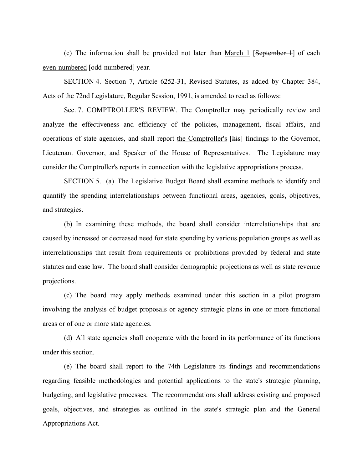(c) The information shall be provided not later than March 1 [September 1] of each even-numbered [odd-numbered] year.

SECTION 4. Section 7, Article 6252-31, Revised Statutes, as added by Chapter 384, Acts of the 72nd Legislature, Regular Session, 1991, is amended to read as follows:

Sec. 7. COMPTROLLER'S REVIEW. The Comptroller may periodically review and analyze the effectiveness and efficiency of the policies, management, fiscal affairs, and operations of state agencies, and shall report the Comptroller's [his] findings to the Governor, Lieutenant Governor, and Speaker of the House of Representatives. The Legislature may consider the Comptroller's reports in connection with the legislative appropriations process.

SECTION 5. (a) The Legislative Budget Board shall examine methods to identify and quantify the spending interrelationships between functional areas, agencies, goals, objectives, and strategies.

(b) In examining these methods, the board shall consider interrelationships that are caused by increased or decreased need for state spending by various population groups as well as interrelationships that result from requirements or prohibitions provided by federal and state statutes and case law. The board shall consider demographic projections as well as state revenue projections.

(c) The board may apply methods examined under this section in a pilot program involving the analysis of budget proposals or agency strategic plans in one or more functional areas or of one or more state agencies.

(d) All state agencies shall cooperate with the board in its performance of its functions under this section.

(e) The board shall report to the 74th Legislature its findings and recommendations regarding feasible methodologies and potential applications to the state's strategic planning, budgeting, and legislative processes. The recommendations shall address existing and proposed goals, objectives, and strategies as outlined in the state's strategic plan and the General Appropriations Act.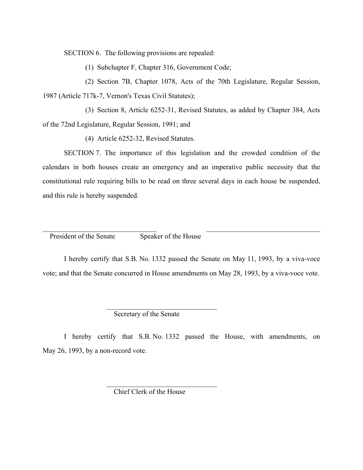SECTION 6. The following provisions are repealed:

(1) Subchapter F, Chapter 316, Government Code;

(2) Section 7B, Chapter 1078, Acts of the 70th Legislature, Regular Session, 1987 (Article 717k-7, Vernon's Texas Civil Statutes);

(3) Section 8, Article 6252-31, Revised Statutes, as added by Chapter 384, Acts of the 72nd Legislature, Regular Session, 1991; and

(4) Article 6252-32, Revised Statutes.

SECTION 7. The importance of this legislation and the crowded condition of the calendars in both houses create an emergency and an imperative public necessity that the constitutional rule requiring bills to be read on three several days in each house be suspended, and this rule is hereby suspended.

President of the Senate Speaker of the House

I hereby certify that S.B. No. 1332 passed the Senate on May 11, 1993, by a viva-voce vote; and that the Senate concurred in House amendments on May 28, 1993, by a viva-voce vote.

 $\mathcal{L}_\text{max} = \mathcal{L}_\text{max} = \mathcal{L}_\text{max} = \mathcal{L}_\text{max} = \mathcal{L}_\text{max} = \mathcal{L}_\text{max} = \mathcal{L}_\text{max} = \mathcal{L}_\text{max} = \mathcal{L}_\text{max} = \mathcal{L}_\text{max} = \mathcal{L}_\text{max} = \mathcal{L}_\text{max} = \mathcal{L}_\text{max} = \mathcal{L}_\text{max} = \mathcal{L}_\text{max} = \mathcal{L}_\text{max} = \mathcal{L}_\text{max} = \mathcal{L}_\text{max} = \mathcal{$ 

Secretary of the Senate

 $\mathcal{L}_\text{max}$  and  $\mathcal{L}_\text{max}$  and  $\mathcal{L}_\text{max}$  and  $\mathcal{L}_\text{max}$  and  $\mathcal{L}_\text{max}$ 

 $\mathcal{L}_\text{max}$  and  $\mathcal{L}_\text{max}$  and  $\mathcal{L}_\text{max}$  and  $\mathcal{L}_\text{max}$  and  $\mathcal{L}_\text{max}$ 

I hereby certify that S.B. No. 1332 passed the House, with amendments, on May 26, 1993, by a non-record vote.

Chief Clerk of the House